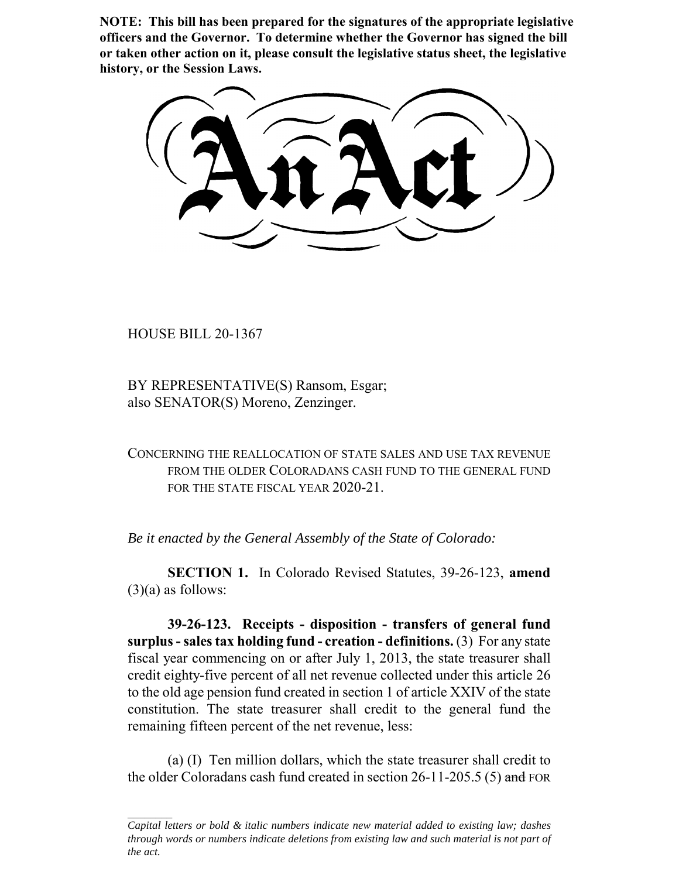**NOTE: This bill has been prepared for the signatures of the appropriate legislative officers and the Governor. To determine whether the Governor has signed the bill or taken other action on it, please consult the legislative status sheet, the legislative history, or the Session Laws.**

HOUSE BILL 20-1367

BY REPRESENTATIVE(S) Ransom, Esgar; also SENATOR(S) Moreno, Zenzinger.

CONCERNING THE REALLOCATION OF STATE SALES AND USE TAX REVENUE FROM THE OLDER COLORADANS CASH FUND TO THE GENERAL FUND FOR THE STATE FISCAL YEAR 2020-21.

*Be it enacted by the General Assembly of the State of Colorado:*

**SECTION 1.** In Colorado Revised Statutes, 39-26-123, **amend**  $(3)(a)$  as follows:

**39-26-123. Receipts - disposition - transfers of general fund surplus - sales tax holding fund - creation - definitions.** (3) For any state fiscal year commencing on or after July 1, 2013, the state treasurer shall credit eighty-five percent of all net revenue collected under this article 26 to the old age pension fund created in section 1 of article XXIV of the state constitution. The state treasurer shall credit to the general fund the remaining fifteen percent of the net revenue, less:

(a) (I) Ten million dollars, which the state treasurer shall credit to the older Coloradans cash fund created in section 26-11-205.5 (5) and FOR

*Capital letters or bold & italic numbers indicate new material added to existing law; dashes through words or numbers indicate deletions from existing law and such material is not part of the act.*